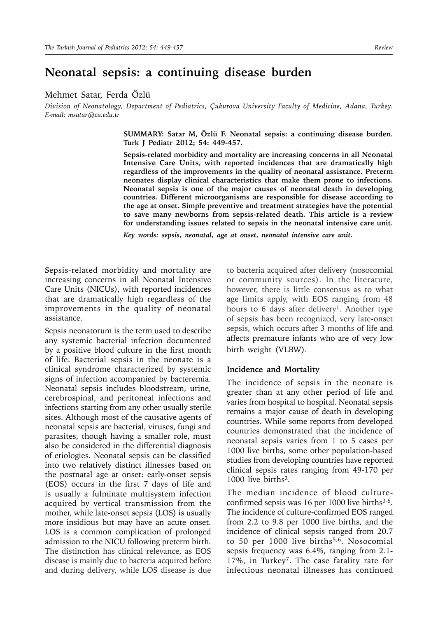# **Neonatal sepsis: a continuing disease burden**

Mehmet Satar, Ferda Özlü

*Division of Neonatology, Department of Pediatrics, Çukurova University Faculty of Medicine, Adana, Turkey. E-mail: msatar@cu.edu.tr*

> **SUMMARY: Satar M, Özlü F. Neonatal sepsis: a continuing disease burden. Turk J Pediatr 2012; 54: 449-457.**

> **Sepsis-related morbidity and mortality are increasing concerns in all Neonatal Intensive Care Units, with reported incidences that are dramatically high regardless of the improvements in the quality of neonatal assistance. Preterm neonates display clinical characteristics that make them prone to infections. Neonatal sepsis is one of the major causes of neonatal death in developing countries. Different microorganisms are responsible for disease according to the age at onset. Simple preventive and treatment strategies have the potential to save many newborns from sepsis-related death. This article is a review for understanding issues related to sepsis in the neonatal intensive care unit.**

*Key words: sepsis, neonatal, age at onset, neonatal intensive care unit.* 

Sepsis-related morbidity and mortality are increasing concerns in all Neonatal Intensive Care Units (NICUs), with reported incidences that are dramatically high regardless of the improvements in the quality of neonatal assistance.

Sepsis neonatorum is the term used to describe any systemic bacterial infection documented by a positive blood culture in the first month of life. Bacterial sepsis in the neonate is a clinical syndrome characterized by systemic signs of infection accompanied by bacteremia. Neonatal sepsis includes bloodstream, urine, cerebrospinal, and peritoneal infections and infections starting from any other usually sterile sites. Although most of the causative agents of neonatal sepsis are bacterial, viruses, fungi and parasites, though having a smaller role, must also be considered in the differential diagnosis of etiologies. Neonatal sepsis can be classified into two relatively distinct illnesses based on the postnatal age at onset: early-onset sepsis (EOS) occurs in the first 7 days of life and is usually a fulminate multisystem infection acquired by vertical transmission from the mother, while late-onset sepsis (LOS) is usually more insidious but may have an acute onset. LOS is a common complication of prolonged admission to the NICU following preterm birth. The distinction has clinical relevance, as EOS disease is mainly due to bacteria acquired before and during delivery, while LOS disease is due

to bacteria acquired after delivery (nosocomial or community sources). In the literature, however, there is little consensus as to what age limits apply, with EOS ranging from 48 hours to 6 days after delivery<sup>1</sup>. Another type of sepsis has been recognized, very late-onset sepsis, which occurs after 3 months of life and affects premature infants who are of very low birth weight (VLBW).

#### **Incidence and Mortality**

The incidence of sepsis in the neonate is greater than at any other period of life and varies from hospital to hospital. Neonatal sepsis remains a major cause of death in developing countries. While some reports from developed countries demonstrated that the incidence of neonatal sepsis varies from 1 to 5 cases per 1000 live births, some other population-based studies from developing countries have reported clinical sepsis rates ranging from 49-170 per 1000 live births2.

The median incidence of blood cultureconfirmed sepsis was  $16$  per  $1000$  live births<sup>3-5</sup>. The incidence of culture-confirmed EOS ranged from 2.2 to 9.8 per 1000 live births, and the incidence of clinical sepsis ranged from 20.7 to 50 per 1000 live births<sup>5,6</sup>. Nosocomial sepsis frequency was 6.4%, ranging from 2.1- 17%, in Turkey7. The case fatality rate for infectious neonatal illnesses has continued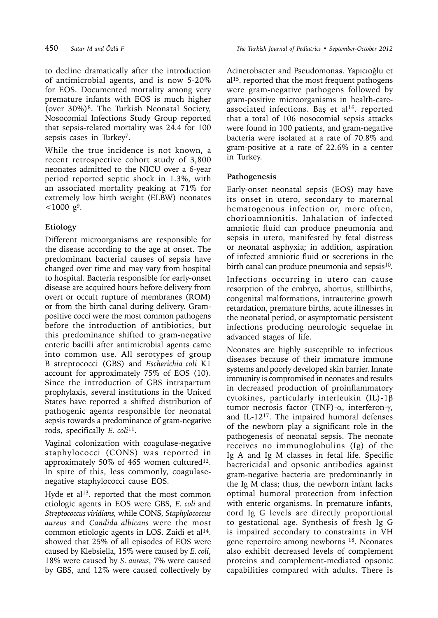to decline dramatically after the introduction of antimicrobial agents, and is now 5-20% for EOS. Documented mortality among very premature infants with EOS is much higher (over 30%)8. The Turkish Neonatal Society, Nosocomial Infections Study Group reported that sepsis-related mortality was 24.4 for 100 sepsis cases in Turkey7.

While the true incidence is not known, a recent retrospective cohort study of 3,800 neonates admitted to the NICU over a 6-year period reported septic shock in 1.3%, with an associated mortality peaking at 71% for extremely low birth weight (ELBW) neonates  $<$ 1000 g<sup>9</sup>.

# **Etiology**

Different microorganisms are responsible for the disease according to the age at onset. The predominant bacterial causes of sepsis have changed over time and may vary from hospital to hospital. Bacteria responsible for early-onset disease are acquired hours before delivery from overt or occult rupture of membranes (ROM) or from the birth canal during delivery. Grampositive cocci were the most common pathogens before the introduction of antibiotics, but this predominance shifted to gram-negative enteric bacilli after antimicrobial agents came into common use. All serotypes of group B streptococci (GBS) and *Escherichia coli* K1 account for approximately 75% of EOS (10). Since the introduction of GBS intrapartum prophylaxis, several institutions in the United States have reported a shifted distribution of pathogenic agents responsible for neonatal sepsis towards a predominance of gram-negative rods, specifically *E. coli*11.

Vaginal colonization with coagulase-negative staphylococci (CONS) was reported in approximately 50% of 465 women cultured<sup>12</sup>. In spite of this, less commonly, coagulasenegative staphylococci cause EOS.

Hyde et al<sup>13</sup>. reported that the most common etiologic agents in EOS were GBS, *E. coli* and *Streptococcus viridians,* while CONS, *Staphylococcus aureus* and *Candida albicans* were the most common etiologic agents in LOS. Zaidi et al $14$ . showed that 25% of all episodes of EOS were caused by Klebsiella, 15% were caused by *E. coli*, 18% were caused by *S. aureus*, 7% were caused by GBS, and 12% were caused collectively by

Acinetobacter and Pseudomonas. Yapıcıoğlu et  $al<sup>15</sup>$ . reported that the most frequent pathogens were gram-negative pathogens followed by gram-positive microorganisms in health-careassociated infections. Bas et al<sup>16</sup>, reported that a total of 106 nosocomial sepsis attacks were found in 100 patients, and gram-negative bacteria were isolated at a rate of 70.8% and gram-positive at a rate of 22.6% in a center in Turkey.

## **Pathogenesis**

Early-onset neonatal sepsis (EOS) may have its onset in utero, secondary to maternal hematogenous infection or, more often, chorioamnionitis. Inhalation of infected amniotic fluid can produce pneumonia and sepsis in utero, manifested by fetal distress or neonatal asphyxia; in addition, aspiration of infected amniotic fluid or secretions in the birth canal can produce pneumonia and sepsis<sup>10</sup>.

Infections occurring in utero can cause resorption of the embryo, abortus, stillbirths, congenital malformations, intrauterine growth retardation, premature births, acute illnesses in the neonatal period, or asymptomatic persistent infections producing neurologic sequelae in advanced stages of life.

Neonates are highly susceptible to infectious diseases because of their immature immune systems and poorly developed skin barrier. Innate immunity is compromised in neonates and results in decreased production of proinflammatory cytokines, particularly interleukin (IL)-1 $\beta$ tumor necrosis factor (TNF)- $\alpha$ , interferon- $\gamma$ , and IL-1217. The impaired humoral defenses of the newborn play a significant role in the pathogenesis of neonatal sepsis. The neonate receives no immunoglobulins (Ig) of the Ig A and Ig M classes in fetal life. Specific bactericidal and opsonic antibodies against gram-negative bacteria are predominantly in the Ig M class; thus, the newborn infant lacks optimal humoral protection from infection with enteric organisms. In premature infants, cord Ig G levels are directly proportional to gestational age. Synthesis of fresh Ig G is impaired secondary to constraints in VH gene repertoire among newborns 18. Neonates also exhibit decreased levels of complement proteins and complement-mediated opsonic capabilities compared with adults. There is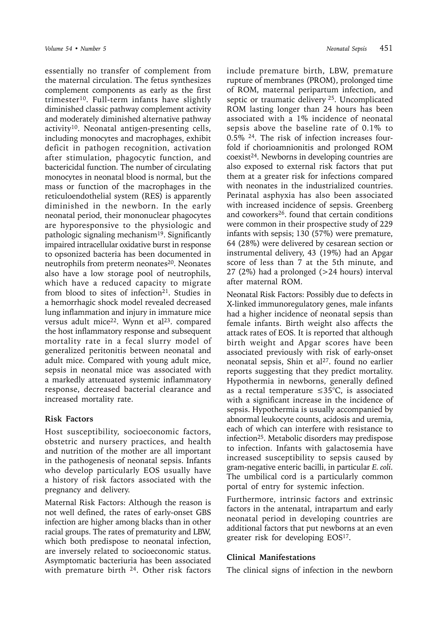essentially no transfer of complement from the maternal circulation. The fetus synthesizes complement components as early as the first trimester<sup>10</sup>. Full-term infants have slightly diminished classic pathway complement activity and moderately diminished alternative pathway activity<sup>10</sup>. Neonatal antigen-presenting cells, including monocytes and macrophages, exhibit deficit in pathogen recognition, activation after stimulation, phagocytic function, and bactericidal function. The number of circulating monocytes in neonatal blood is normal, but the mass or function of the macrophages in the reticuloendothelial system (RES) is apparently diminished in the newborn. In the early neonatal period, their mononuclear phagocytes are hyporesponsive to the physiologic and pathologic signaling mechanism<sup>19</sup>. Significantly impaired intracellular oxidative burst in response to opsonized bacteria has been documented in neutrophils from preterm neonates<sup>20</sup>. Neonates also have a low storage pool of neutrophils, which have a reduced capacity to migrate from blood to sites of infection<sup>21</sup>. Studies in a hemorrhagic shock model revealed decreased lung inflammation and injury in immature mice versus adult mice<sup>22</sup>. Wynn et al<sup>23</sup>. compared the host inflammatory response and subsequent mortality rate in a fecal slurry model of generalized peritonitis between neonatal and adult mice. Compared with young adult mice, sepsis in neonatal mice was associated with a markedly attenuated systemic inflammatory response, decreased bacterial clearance and increased mortality rate.

## **Risk Factors**

Host susceptibility, socioeconomic factors, obstetric and nursery practices, and health and nutrition of the mother are all important in the pathogenesis of neonatal sepsis. Infants who develop particularly EOS usually have a history of risk factors associated with the pregnancy and delivery.

Maternal Risk Factors: Although the reason is not well defined, the rates of early-onset GBS infection are higher among blacks than in other racial groups. The rates of prematurity and LBW, which both predispose to neonatal infection, are inversely related to socioeconomic status. Asymptomatic bacteriuria has been associated with premature birth  $24$ . Other risk factors

include premature birth, LBW, premature rupture of membranes (PROM), prolonged time of ROM, maternal peripartum infection, and septic or traumatic delivery 25. Uncomplicated ROM lasting longer than 24 hours has been associated with a 1% incidence of neonatal sepsis above the baseline rate of 0.1% to 0.5% 24. The risk of infection increases fourfold if chorioamnionitis and prolonged ROM coexist24. Newborns in developing countries are also exposed to external risk factors that put them at a greater risk for infections compared with neonates in the industrialized countries. Perinatal asphyxia has also been associated with increased incidence of sepsis. Greenberg and coworkers26. found that certain conditions were common in their prospective study of 229 infants with sepsis; 130 (57%) were premature, 64 (28%) were delivered by cesarean section or instrumental delivery, 43 (19%) had an Apgar score of less than 7 at the 5th minute, and 27 (2%) had a prolonged (>24 hours) interval after maternal ROM.

Neonatal Risk Factors: Possibly due to defects in X-linked immunoregulatory genes, male infants had a higher incidence of neonatal sepsis than female infants. Birth weight also affects the attack rates of EOS. It is reported that although birth weight and Apgar scores have been associated previously with risk of early-onset neonatal sepsis, Shin et al<sup>27</sup>. found no earlier reports suggesting that they predict mortality. Hypothermia in newborns, generally defined as a rectal temperature ≤35°C, is associated with a significant increase in the incidence of sepsis. Hypothermia is usually accompanied by abnormal leukocyte counts, acidosis and uremia, each of which can interfere with resistance to infection25. Metabolic disorders may predispose to infection. Infants with galactosemia have increased susceptibility to sepsis caused by gram-negative enteric bacilli, in particular *E. coli*. The umbilical cord is a particularly common portal of entry for systemic infection.

Furthermore, intrinsic factors and extrinsic factors in the antenatal, intrapartum and early neonatal period in developing countries are additional factors that put newborns at an even greater risk for developing EOS<sup>17</sup>.

## **Clinical Manifestations**

The clinical signs of infection in the newborn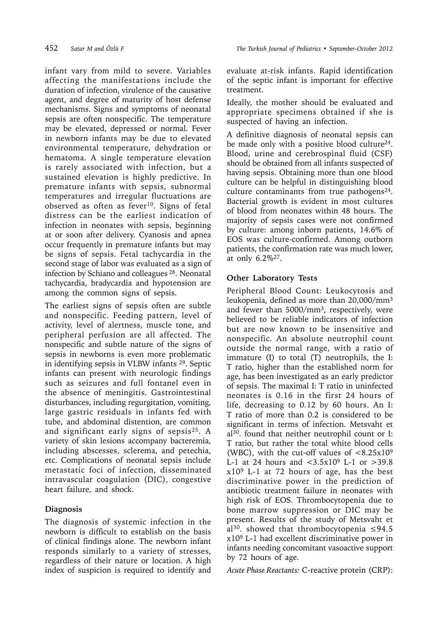infant vary from mild to severe. Variables affecting the manifestations include the duration of infection, virulence of the causative agent, and degree of maturity of host defense mechanisms. Signs and symptoms of neonatal sepsis are often nonspecific. The temperature may be elevated, depressed or normal. Fever in newborn infants may be due to elevated environmental temperature, dehydration or hematoma. A single temperature elevation is rarely associated with infection, but a sustained elevation is highly predictive. In premature infants with sepsis, subnormal temperatures and irregular fluctuations are observed as often as  $f$ ever<sup>10</sup>. Signs of fetal distress can be the earliest indication of infection in neonates with sepsis, beginning at or soon after delivery. Cyanosis and apnea occur frequently in premature infants but may be signs of sepsis. Fetal tachycardia in the second stage of labor was evaluated as a sign of infection by Schiano and colleagues 28. Neonatal tachycardia, bradycardia and hypotension are among the common signs of sepsis.

The earliest signs of sepsis often are subtle and nonspecific. Feeding pattern, level of activity, level of alertness, muscle tone, and peripheral perfusion are all affected. The nonspecific and subtle nature of the signs of sepsis in newborns is even more problematic in identifying sepsis in VLBW infants 29. Septic infants can present with neurologic findings such as seizures and full fontanel even in the absence of meningitis. Gastrointestinal disturbances, including regurgitation, vomiting, large gastric residuals in infants fed with tube, and abdominal distention, are common and significant early signs of sepsis25. A variety of skin lesions accompany bacteremia, including abscesses, sclerema, and petechia, etc. Complications of neonatal sepsis include metastatic foci of infection, disseminated intravascular coagulation (DIC), congestive heart failure, and shock.

## **Diagnosis**

The diagnosis of systemic infection in the newborn is difficult to establish on the basis of clinical findings alone. The newborn infant responds similarly to a variety of stresses, regardless of their nature or location. A high index of suspicion is required to identify and

evaluate at-risk infants. Rapid identification of the septic infant is important for effective treatment.

Ideally, the mother should be evaluated and appropriate specimens obtained if she is suspected of having an infection.

A definitive diagnosis of neonatal sepsis can be made only with a positive blood culture<sup>24</sup>. Blood, urine and cerebrospinal fluid (CSF) should be obtained from all infants suspected of having sepsis. Obtaining more than one blood culture can be helpful in distinguishing blood culture contaminants from true pathogens<sup>24</sup>. Bacterial growth is evident in most cultures of blood from neonates within 48 hours. The majority of sepsis cases were not confirmed by culture: among inborn patients, 14.6% of EOS was culture-confirmed. Among outborn patients, the confirmation rate was much lower, at only 6.2%27.

## **Other Laboratory Tests**

Peripheral Blood Count: Leukocytosis and leukopenia, defined as more than 20,000/mm3 and fewer than 5000/mm3, respectively, were believed to be reliable indicators of infection but are now known to be insensitive and nonspecific. An absolute neutrophil count outside the normal range, with a ratio of immature (I) to total (T) neutrophils, the I: T ratio, higher than the established norm for age, has been investigated as an early predictor of sepsis. The maximal I: T ratio in uninfected neonates is 0.16 in the first 24 hours of life, decreasing to 0.12 by 60 hours. An I: T ratio of more than 0.2 is considered to be significant in terms of infection. Metsvaht et al30. found that neither neutrophil count or I: T ratio, but rather the total white blood cells (WBC), with the cut-off values of  $\langle 8.25 \times 10^9 \rangle$ L-1 at 24 hours and  $\langle 3.5x10^9 \text{ L-1} \text{ or } >39.8 \rangle$ x109 L-1 at 72 hours of age, has the best discriminative power in the prediction of antibiotic treatment failure in neonates with high risk of EOS. Thrombocytopenia due to bone marrow suppression or DIC may be present. Results of the study of Metsvaht et al<sup>30</sup>. showed that thrombocytopenia  $\leq$ 94.5 x109 L-1 had excellent discriminative power in infants needing concomitant vasoactive support by 72 hours of age.

*Acute Phase Reactants:* C-reactive protein (CRP):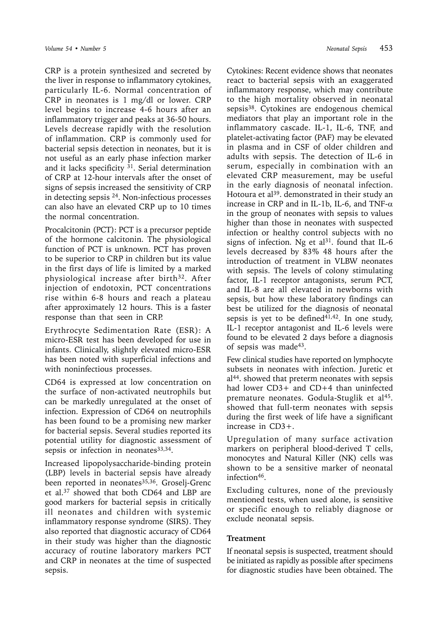CRP is a protein synthesized and secreted by the liver in response to inflammatory cytokines, particularly IL-6. Normal concentration of CRP in neonates is 1 mg/dl or lower. CRP level begins to increase 4-6 hours after an inflammatory trigger and peaks at 36-50 hours. Levels decrease rapidly with the resolution of inflammation. CRP is commonly used for bacterial sepsis detection in neonates, but it is not useful as an early phase infection marker and it lacks specificity  $31$ . Serial determination of CRP at 12-hour intervals after the onset of signs of sepsis increased the sensitivity of CRP in detecting sepsis 24. Non-infectious processes can also have an elevated CRP up to 10 times the normal concentration.

Procalcitonin (PCT): PCT is a precursor peptide of the hormone calcitonin. The physiological function of PCT is unknown. PCT has proven to be superior to CRP in children but its value in the first days of life is limited by a marked physiological increase after birth<sup>32</sup>. After injection of endotoxin, PCT concentrations rise within 6-8 hours and reach a plateau after approximately 12 hours. This is a faster response than that seen in CRP.

Erythrocyte Sedimentation Rate (ESR): A micro-ESR test has been developed for use in infants. Clinically, slightly elevated micro-ESR has been noted with superficial infections and with noninfectious processes.

CD64 is expressed at low concentration on the surface of non-activated neutrophils but can be markedly unregulated at the onset of infection. Expression of CD64 on neutrophils has been found to be a promising new marker for bacterial sepsis. Several studies reported its potential utility for diagnostic assessment of sepsis or infection in neonates<sup>33,34</sup>.

Increased lipopolysaccharide-binding protein (LBP) levels in bacterial sepsis have already been reported in neonates<sup>35,36</sup>. Groselj-Grenc et al.37 showed that both CD64 and LBP are good markers for bacterial sepsis in critically ill neonates and children with systemic inflammatory response syndrome (SIRS). They also reported that diagnostic accuracy of CD64 in their study was higher than the diagnostic accuracy of routine laboratory markers PCT and CRP in neonates at the time of suspected sepsis.

Cytokines: Recent evidence shows that neonates react to bacterial sepsis with an exaggerated inflammatory response, which may contribute to the high mortality observed in neonatal sepsis38. Cytokines are endogenous chemical mediators that play an important role in the inflammatory cascade. IL-1, IL-6, TNF, and platelet-activating factor (PAF) may be elevated in plasma and in CSF of older children and adults with sepsis. The detection of IL-6 in serum, especially in combination with an elevated CRP measurement, may be useful in the early diagnosis of neonatal infection. Hotoura et al<sup>39</sup>. demonstrated in their study an increase in CRP and in IL-1b, IL-6, and TNF- $\alpha$ in the group of neonates with sepsis to values higher than those in neonates with suspected infection or healthy control subjects with no signs of infection. Ng et al<sup>31</sup>. found that IL-6 levels decreased by 83% 48 hours after the introduction of treatment in VLBW neonates with sepsis. The levels of colony stimulating factor, IL-1 receptor antagonists, serum PCT, and IL-8 are all elevated in newborns with sepsis, but how these laboratory findings can best be utilized for the diagnosis of neonatal sepsis is yet to be defined<sup>41,42</sup>. In one study, IL-1 receptor antagonist and IL-6 levels were found to be elevated 2 days before a diagnosis of sepsis was made43.

Few clinical studies have reported on lymphocyte subsets in neonates with infection. Juretic et al44. showed that preterm neonates with sepsis had lower CD3+ and CD+4 than uninfected premature neonates. Godula-Stuglik et al<sup>45</sup>. showed that full-term neonates with sepsis during the first week of life have a significant increase in CD3+.

Upregulation of many surface activation markers on peripheral blood-derived T cells, monocytes and Natural Killer (NK) cells was shown to be a sensitive marker of neonatal infection<sup>46</sup>.

Excluding cultures, none of the previously mentioned tests, when used alone, is sensitive or specific enough to reliably diagnose or exclude neonatal sepsis.

## **Treatment**

If neonatal sepsis is suspected, treatment should be initiated as rapidly as possible after specimens for diagnostic studies have been obtained. The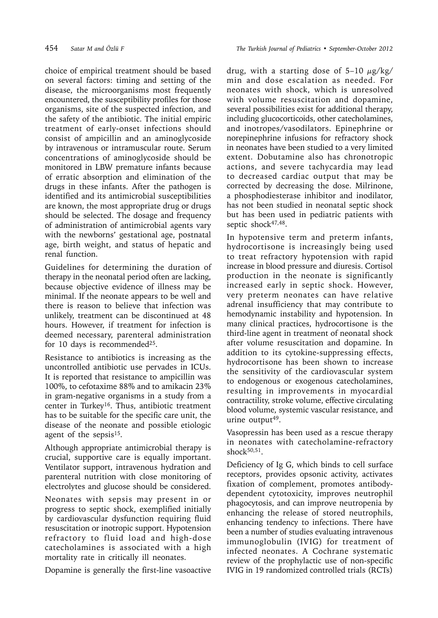choice of empirical treatment should be based on several factors: timing and setting of the disease, the microorganisms most frequently encountered, the susceptibility profiles for those organisms, site of the suspected infection, and the safety of the antibiotic. The initial empiric treatment of early-onset infections should consist of ampicillin and an aminoglycoside by intravenous or intramuscular route. Serum concentrations of aminoglycoside should be monitored in LBW premature infants because of erratic absorption and elimination of the drugs in these infants. After the pathogen is identified and its antimicrobial susceptibilities are known, the most appropriate drug or drugs should be selected. The dosage and frequency of administration of antimicrobial agents vary with the newborns' gestational age, postnatal age, birth weight, and status of hepatic and renal function.

Guidelines for determining the duration of therapy in the neonatal period often are lacking, because objective evidence of illness may be minimal. If the neonate appears to be well and there is reason to believe that infection was unlikely, treatment can be discontinued at 48 hours. However, if treatment for infection is deemed necessary, parenteral administration for 10 days is recommended<sup>25</sup>.

Resistance to antibiotics is increasing as the uncontrolled antibiotic use pervades in ICUs. It is reported that resistance to ampicillin was 100%, to cefotaxime 88% and to amikacin 23% in gram-negative organisms in a study from a center in Turkey16. Thus, antibiotic treatment has to be suitable for the specific care unit, the disease of the neonate and possible etiologic agent of the sepsis<sup>15</sup>.

Although appropriate antimicrobial therapy is crucial, supportive care is equally important. Ventilator support, intravenous hydration and parenteral nutrition with close monitoring of electrolytes and glucose should be considered.

Neonates with sepsis may present in or progress to septic shock, exemplified initially by cardiovascular dysfunction requiring fluid resuscitation or inotropic support. Hypotension refractory to fluid load and high-dose catecholamines is associated with a high mortality rate in critically ill neonates.

Dopamine is generally the first-line vasoactive

drug, with a starting dose of  $5-10 \mu g/kg$ min and dose escalation as needed. For neonates with shock, which is unresolved with volume resuscitation and dopamine, several possibilities exist for additional therapy, including glucocorticoids, other catecholamines, and inotropes/vasodilators. Epinephrine or norepinephrine infusions for refractory shock in neonates have been studied to a very limited extent. Dobutamine also has chronotropic actions, and severe tachycardia may lead to decreased cardiac output that may be corrected by decreasing the dose. Milrinone, a phosphodiesterase inhibitor and inodilator, has not been studied in neonatal septic shock but has been used in pediatric patients with septic shock<sup>47,48</sup>.

In hypotensive term and preterm infants, hydrocortisone is increasingly being used to treat refractory hypotension with rapid increase in blood pressure and diuresis. Cortisol production in the neonate is significantly increased early in septic shock. However, very preterm neonates can have relative adrenal insufficiency that may contribute to hemodynamic instability and hypotension. In many clinical practices, hydrocortisone is the third-line agent in treatment of neonatal shock after volume resuscitation and dopamine. In addition to its cytokine-suppressing effects, hydrocortisone has been shown to increase the sensitivity of the cardiovascular system to endogenous or exogenous catecholamines, resulting in improvements in myocardial contractility, stroke volume, effective circulating blood volume, systemic vascular resistance, and urine output $49$ .

Vasopressin has been used as a rescue therapy in neonates with catecholamine-refractory shock $50,51$ .

Deficiency of Ig G, which binds to cell surface receptors, provides opsonic activity, activates fixation of complement, promotes antibodydependent cytotoxicity, improves neutrophil phagocytosis, and can improve neutropenia by enhancing the release of stored neutrophils, enhancing tendency to infections. There have been a number of studies evaluating intravenous immunoglobulin (IVIG) for treatment of infected neonates. A Cochrane systematic review of the prophylactic use of non-specific IVIG in 19 randomized controlled trials (RCTs)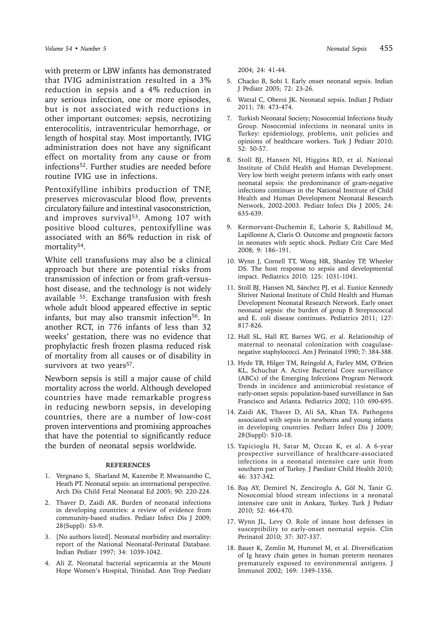with preterm or LBW infants has demonstrated that IVIG administration resulted in a 3% reduction in sepsis and a 4% reduction in any serious infection, one or more episodes, but is not associated with reductions in other important outcomes: sepsis, necrotizing enterocolitis, intraventricular hemorrhage, or length of hospital stay. Most importantly, IVIG administration does not have any significant effect on mortality from any cause or from infections52. Further studies are needed before routine IVIG use in infections.

Pentoxifylline inhibits production of TNF, preserves microvascular blood flow, prevents circulatory failure and intestinal vasoconstriction, and improves survival<sup>53</sup>. Among 107 with positive blood cultures, pentoxifylline was associated with an 86% reduction in risk of mortality<sup>54</sup>.

White cell transfusions may also be a clinical approach but there are potential risks from transmission of infection or from graft-versushost disease, and the technology is not widely available 55. Exchange transfusion with fresh whole adult blood appeared effective in septic infants, but may also transmit infection<sup>56</sup>. In another RCT, in 776 infants of less than 32 weeks' gestation, there was no evidence that prophylactic fresh frozen plasma reduced risk of mortality from all causes or of disability in survivors at two years<sup>57</sup>.

Newborn sepsis is still a major cause of child mortality across the world. Although developed countries have made remarkable progress in reducing newborn sepsis, in developing countries, there are a number of low-cost proven interventions and promising approaches that have the potential to significantly reduce the burden of neonatal sepsis worldwide.

#### **REFERENCES**

- 1. Vergnano S, Sharland M, Kazembe P, Mwansambo C, Heath PT. Neonatal sepsis: an international perspective. Arch Dis Child Fetal Neonatal Ed 2005; 90: 220-224.
- 2. Thaver D, Zaidi AK. Burden of neonatal infections in developing countries: a review of evidence from community-based studies. Pediatr Infect Dis J 2009; 28(Suppl): S3-9.
- 3. [No authors listed]. Neonatal morbidity and mortality: report of the National Neonatal-Perinatal Database. Indian Pediatr 1997; 34: 1039-1042.
- 4. Ali Z. Neonatal bacterial septicaemia at the Mount Hope Women's Hospital, Trinidad. Ann Trop Paediatr

2004; 24: 41-44.

- 5. Chacko B, Sohi I. Early onset neonatal sepsis. Indian J Pediatr 2005; 72: 23-26.
- 6. Wattal C, Oberoi JK. Neonatal sepsis. Indian J Pediatr 2011; 78: 473-474.
- 7. Turkish Neonatal Society; Nosocomial Infections Study Group. Nosocomial infections in neonatal units in Turkey: epidemiology, problems, unit policies and opinions of healthcare workers. Turk J Pediatr 2010; 52: 50-57.
- 8. Stoll BJ, Hansen NI, Higgins RD, et al. National Institute of Child Health and Human Development. Very low birth weight preterm infants with early onset neonatal sepsis: the predominance of gram-negative infections continues in the National Institute of Child Health and Human Development Neonatal Research Network, 2002-2003. Pediatr Infect Dis J 2005; 24: 635-639.
- 9. Kermorvant-Duchemin E, Laborie S, Rabilloud M, Lapillonne A, Claris O. Outcome and prognostic factors in neonates with septic shock. Pediatr Crit Care Med 2008; 9: 186–191.
- 10. Wynn J, Cornell TT, Wong HR, Shanley TP, Wheeler DS. The host response to sepsis and developmental impact. Pediatrics 2010; 125: 1031-1041.
- 11. Stoll BJ, Hansen NI, Sánchez PJ, et al. Eunice Kennedy Shriver National Institute of Child Health and Human Development Neonatal Research Network. Early onset neonatal sepsis: the burden of group B Streptococcal and E. coli disease continues. Pediatrics 2011; 127: 817-826.
- 12. Hall SL, Hall RT, Barnes WG, et al. Relationship of maternal to neonatal colonization with coagulasenegative staphylococci. Am J Perinatol 1990; 7: 384-388.
- 13. Hyde TB, Hilger TM, Reingold A, Farley MM, O'Brien KL, Schuchat A. Active Bacterial Core surveillance (ABCs) of the Emerging Infections Program Network Trends in incidence and antimicrobial resistance of early-onset sepsis: population-based surveillance in San Francisco and Atlanta. Pediatrics 2002; 110: 690-695.
- 14. Zaidi AK, Thaver D, Ali SA, Khan TA. Pathogens associated with sepsis in newborns and young infants in developing countries. Pediatr Infect Dis J 2009; 28(Suppl): S10-18.
- 15. Yapicioglu H, Satar M, Ozcan K, et al. A 6-year prospective surveillance of healthcare-associated infections in a neonatal intensive care unit from southern part of Turkey. J Paediatr Child Health 2010; 46: 337-342.
- 16. Baş AY, Demirel N, Zenciroglu A, Göl N, Tanir G. Nosocomial blood stream infections in a neonatal intensive care unit in Ankara, Turkey. Turk J Pediatr 2010; 52: 464-470.
- 17. Wynn JL, Levy O. Role of innate host defenses in susceptibility to early-onset neonatal sepsis. Clin Perinatol 2010; 37: 307-337.
- 18. Bauer K, Zemlin M, Hummel M, et al. Diversification of Ig heavy chain genes in human preterm neonates prematurely exposed to environmental antigens. J Immunol 2002; 169: 1349-1356.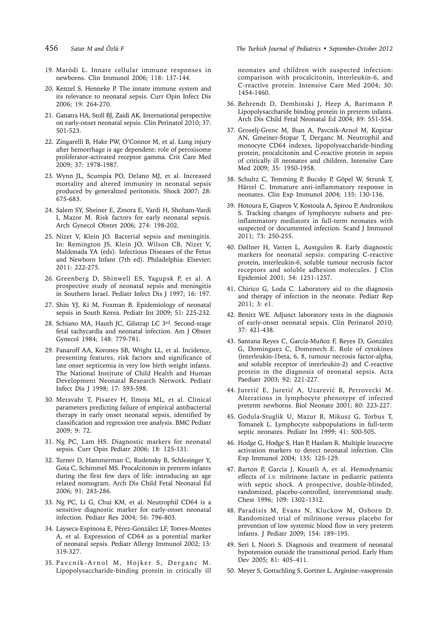- 
- 19. Maródi L. Innate cellular immune responses in newborns. Clin Immunol 2006; 118: 137-144.
- 20. Kenzel S, Henneke P. The innate immune system and its relevance to neonatal sepsis. Curr Opin Infect Dis 2006; 19: 264-270.
- 21. Ganatra HA, Stoll BJ, Zaidi AK. International perspective on early-onset neonatal sepsis. Clin Perinatol 2010; 37: 501-523.
- 22. Zingarelli B, Hake PW, O'Connor M, et al. Lung injury after hemorrhage is age dependent: role of peroxisome proliferator-activated receptor gamma. Crit Care Med 2009; 37: 1978-1987.
- 23. Wynn JL, Scumpia PO, Delano MJ, et al. Increased mortality and altered immunity in neonatal sepsis produced by generalized peritonitis. Shock 2007; 28: 675-683.
- 24. Salem SY, Sheiner E, Zmora E, Vardi H, Shoham-Vardi I, Mazor M. Risk factors for early neonatal sepsis. Arch Gynecol Obstet 2006; 274: 198-202.
- 25. Nizet V, Klein JO. Bacterial sepsis and meningitis. In: Remington JS, Klein JO, Wilson CB, Nizet V, Maldonada YA (eds). Infectious Diseases of the Fetus and Newborn Infant (7th ed). Philadelphia: Elsevier; 2011: 222-275.
- 26. Greenberg D, Shinwell ES, Yagupsk P, et al. A prospective study of neonatal sepsis and meningitis in Southern Israel. Pediatr Infect Dis J 1997; 16: 197.
- 27. Shin YJ, Ki M, Foxman B. Epidemiology of neonatal sepsis in South Korea. Pediatr Int 2009; 51: 225-232.
- 28. Schiano MA, Hauth JC, Gilstrap LC 3rd. Second-stage fetal tachycardia and neonatal infection. Am J Obstet Gynecol 1984; 148: 779-781.
- 29. Fanaroff AA, Korones SB, Wright LL, et al. Incidence, presenting features, risk factors and significance of late onset septicemia in very low birth weight infants. The National Institute of Child Health and Human Development Neonatal Research Network. Pediatr Infect Dis J 1998; 17: 593-598.
- 30. Metsvaht T, Pisarev H, Ilmoja ML, et al. Clinical parameters predicting failure of empirical antibacterial therapy in early onset neonatal sepsis, identified by classification and regression tree analysis. BMC Pediatr 2009; 9: 72.
- 31. Ng PC, Lam HS. Diagnostic markers for neonatal sepsis. Curr Opin Pediatr 2006; 18: 125-131.
- 32. Turner D, Hammerman C, Rudensky B, Schlesinger Y, Goia C, Schimmel MS. Procalcitonin in preterm infants during the first few days of life: introducing an age related nomogram. Arch Dis Child Fetal Neonatal Ed 2006; 91: 283-286.
- 33. Ng PC, Li G, Chui KM, et al. Neutrophil CD64 is a sensitive diagnostic marker for early-onset neonatal infection. Pediatr Res 2004; 56: 796-803.
- 34. Layseca-Espinosa E, Pérez-González LF, Torres-Montes A, et al. Expression of CD64 as a potential marker of neonatal sepsis. Pediatr Allergy Immunol 2002; 13: 319-327.
- 35. Pavcnik-Arnol M, Hojker S, Derganc M. Lipopolysaccharide-binding protein in critically ill

456 *Satar M and Özlü F The Turkish Journal of Pediatrics • September-October 2012*

neonates and children with suspected infection: comparison with procalcitonin, interleukin-6, and C-reactive protein. Intensive Care Med 2004; 30: 1454-1460.

- 36. Behrendt D, Dembinski J, Heep A, Bartmann P. Lipopolysaccharide binding protein in preterm infants. Arch Dis Child Fetal Neonatal Ed 2004; 89: 551-554.
- 37. Groselj-Grenc M, Ihan A, Pavcnik-Arnol M, Kopitar AN, Gmeiner-Stopar T, Derganc M. Neutrophil and monocyte CD64 indexes, lipopolysaccharide-binding protein, procalcitonin and C-reactive protein in sepsis of critically ill neonates and children. Intensive Care Med 2009; 35: 1950-1958.
- 38. Schultz C, Temming P, Bucsky P, Göpel W, Strunk T, Härtel C. Immature anti-inflammatory response in neonates. Clin Exp Immunol 2004; 135: 130-136.
- 39. Hotoura E, Giapros V, Kostoula A, Spirou P, Andronikou S. Tracking changes of lymphocyte subsets and preinflammatory mediators in full-term neonates with suspected or documented infection. Scand J Immunol 2011; 73: 250-255.
- 40. Døllner H, Vatten L, Austgulen R. Early diagnostic markers for neonatal sepsis: comparing C-reactive protein, interleukin-6, soluble tumour necrosis factor receptors and soluble adhesion molecules. J Clin Epidemiol 2001; 54: 1251-1257.
- 41. Chirico G, Loda C. Laboratory aid to the diagnosis and therapy of infection in the neonate. Pediatr Rep 2011; 3: e1.
- 42. Benitz WE. Adjunct laboratory tests in the diagnosis of early-onset neonatal sepsis. Clin Perinatol 2010; 37: 421-438.
- 43. Santana Reyes C, García-Muñoz F, Reyes D, González G, Dominguez C, Domenech E. Role of cytokines (interleukin-1beta, 6, 8, tumour necrosis factor-alpha, and soluble receptor of interleukin-2) and C-reactive protein in the diagnosis of neonatal sepsis. Acta Paediatr 2003; 92: 221-227.
- 44. Juretić E, Juretić A, Uzarević B, Petrovecki M. Alterations in lymphocyte phenotype of infected preterm newborns. Biol Neonate 2001; 80: 223-227.
- 45. Godula-Stuglik U, Mazur B, Mikusz G, Torbus T, Tomanek L. Lymphocyte subpopulations in full-term septic neonates. Pediatr Int 1999; 41: 500-505.
- 46. Hodge G, Hodge S, Han P, Haslam R. Multiple leucocyte activation markers to detect neonatal infection. Clin Exp Immunol 2004; 135: 125-129.
- 47. Barton P, Garcia J, Kouatli A, et al. Hemodynamic effects of i.v. milrinone lactate in pediatric patients with septic shock. A prospective, double-blinded, randomized, placebo-controlled, interventional study. Chest 1996; 109: 1302–1312.
- 48. Paradisis M, Evans N, Kluckow M, Osborn D. Randomized trial of milrinone versus placebo for prevention of low systemic blood flow in very preterm infants. J Pediatr 2009; 154: 189–195.
- 49. Seri I, Noori S. Diagnosis and treatment of neonatal hypotension outside the transitional period. Early Hum Dev 2005; 81: 405–411.
- 50. Meyer S, Gottschling S, Gortner L. Arginine–vasopressin